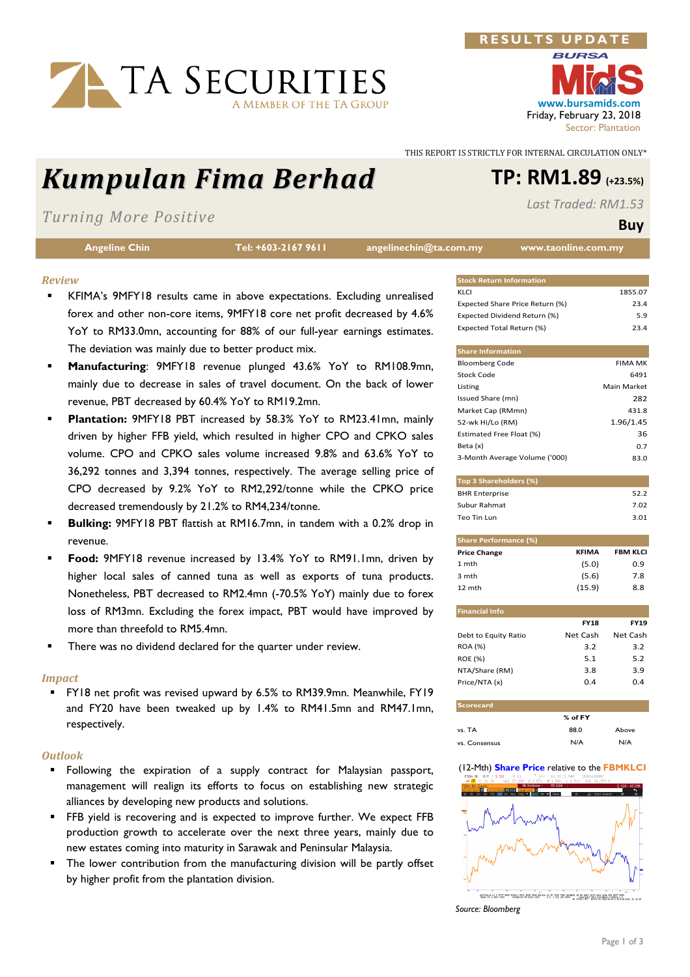# TA SECURITIES

## Kumpulan Fima Berhad TP: RM1.89 (+23.5%)

## Turning More Positive

|  |  | <b>Angeline Chin</b> |  |  |
|--|--|----------------------|--|--|
|--|--|----------------------|--|--|

Tel: +603-2167 9611 angelinechin@ta.com.my www.taonline.com.my

#### Review

- KFIMA's 9MFY18 results came in above expectations. Excluding unrealised forex and other non-core items, 9MFY18 core net profit decreased by 4.6% YoY to RM33.0mn, accounting for 88% of our full-year earnings estimates. The deviation was mainly due to better product mix.
- Manufacturing: 9MFY18 revenue plunged 43.6% YoY to RM108.9mn, mainly due to decrease in sales of travel document. On the back of lower revenue, PBT decreased by 60.4% YoY to RM19.2mn.
- Plantation: 9MFY18 PBT increased by 58.3% YoY to RM23.41mn, mainly driven by higher FFB yield, which resulted in higher CPO and CPKO sales volume. CPO and CPKO sales volume increased 9.8% and 63.6% YoY to 36,292 tonnes and 3,394 tonnes, respectively. The average selling price of CPO decreased by 9.2% YoY to RM2,292/tonne while the CPKO price decreased tremendously by 21.2% to RM4,234/tonne.
- Bulking: 9MFY18 PBT flattish at RM16.7mn, in tandem with a 0.2% drop in revenue.
- Food: 9MFY18 revenue increased by 13.4% YoY to RM91.1mn, driven by higher local sales of canned tuna as well as exports of tuna products. Nonetheless, PBT decreased to RM2.4mn (-70.5% YoY) mainly due to forex loss of RM3mn. Excluding the forex impact, PBT would have improved by more than threefold to RM5.4mn.
- There was no dividend declared for the quarter under review.

#### Impact

 FY18 net profit was revised upward by 6.5% to RM39.9mn. Meanwhile, FY19 and FY20 have been tweaked up by 1.4% to RM41.5mn and RM47.1mn, respectively.

#### **Outlook**

- **Following the expiration of a supply contract for Malaysian passport,** management will realign its efforts to focus on establishing new strategic alliances by developing new products and solutions.
- **FFB** yield is recovering and is expected to improve further. We expect FFB production growth to accelerate over the next three years, mainly due to new estates coming into maturity in Sarawak and Peninsular Malaysia.
- The lower contribution from the manufacturing division will be partly offset by higher profit from the plantation division.

THIS REPORT IS STRICTLY FOR INTERNAL CIRCULATION ONLY\*

RESULTS UPDA

Last Traded: RM1.53

### Buy

| <b>Stock Return Information</b> |         |
|---------------------------------|---------|
| KI CI                           | 1855.07 |
| Expected Share Price Return (%) | 23 4    |
| Expected Dividend Return (%)    | 59      |
| Expected Total Return (%)       | 23 A    |

| <b>Share Information</b>      |                |
|-------------------------------|----------------|
| <b>Bloomberg Code</b>         | <b>FIMA MK</b> |
| Stock Code                    | 6491           |
| Listing                       | Main Market    |
| Issued Share (mn)             | 282            |
| Market Cap (RMmn)             | 431.8          |
| 52-wk Hi/Lo (RM)              | 1.96/1.45      |
| Estimated Free Float (%)      | 36             |
| Beta (x)                      | 0.7            |
| 3-Month Average Volume ('000) | 83.0           |

| Top 3 Shareholders (%) |      |
|------------------------|------|
| <b>BHR Enterprise</b>  | 522  |
| Subur Rahmat           | 7.02 |
| Teo Tin Lun            | 3.01 |

| <b>Share Performance (%)</b> |              |                 |  |  |  |  |  |
|------------------------------|--------------|-----------------|--|--|--|--|--|
| <b>Price Change</b>          | <b>KFIMA</b> | <b>FBM KLCI</b> |  |  |  |  |  |
| 1 mth                        | (5.0)        | 0.9             |  |  |  |  |  |
| 3 mth                        | (5.6)        | 7.8             |  |  |  |  |  |
| 12 mth                       | (15.9)       | 8.8             |  |  |  |  |  |

| <b>FY18</b> | <b>FY19</b> |
|-------------|-------------|
| Net Cash    | Net Cash    |
| 3.2         | 3.2         |
| 5.1         | 5.2         |
| 3.8         | 3.9         |
| 0.4         | 0.4         |
|             |             |

| <b>Scorecard</b> |           |       |  |  |  |  |
|------------------|-----------|-------|--|--|--|--|
|                  | $%$ of FY |       |  |  |  |  |
| vs. TA           | 88.0      | Above |  |  |  |  |
| vs. Consensus    | N/A       | N/A   |  |  |  |  |

#### (12-Mth) Share Price relative to the FBMKLCI



Source: Bloomberg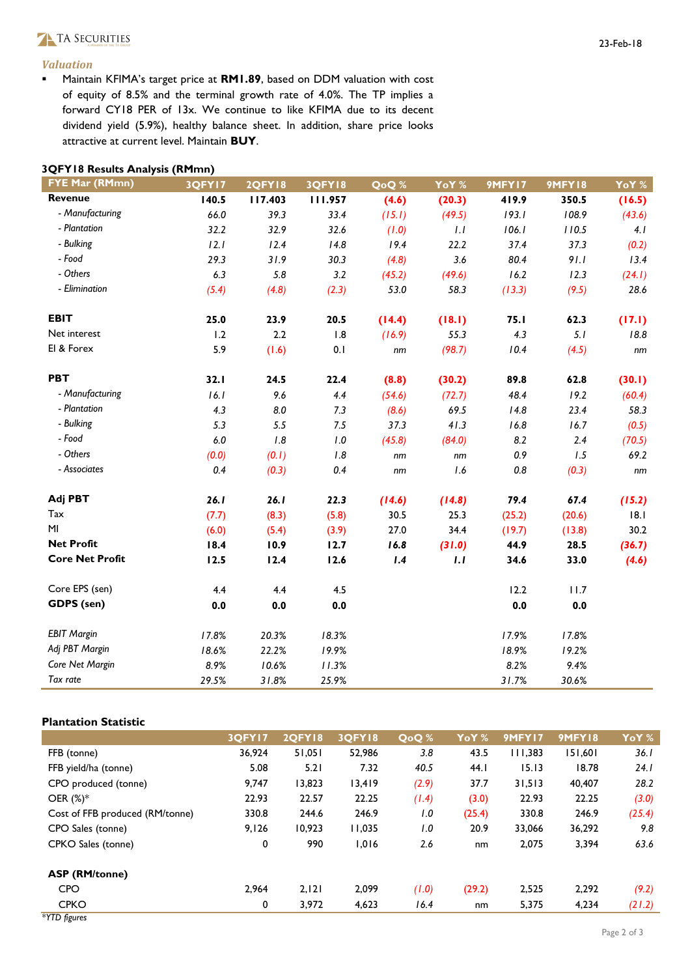#### Valuation

**Maintain KFIMA's target price at RM1.89, based on DDM valuation with cost** of equity of 8.5% and the terminal growth rate of 4.0%. The TP implies a forward CY18 PER of 13x. We continue to like KFIMA due to its decent dividend yield (5.9%), healthy balance sheet. In addition, share price looks attractive at current level. Maintain BUY.

| 3QFY18 Results Analysis (RMmn) |  |  |
|--------------------------------|--|--|
|                                |  |  |

| <b>FYE Mar (RMmn)</b>  | 3QFY17 | <b>2QFY18</b> | <b>3QFY18</b> | QoQ%   | YoY %  | 9MFY17  | 9MFY18  | YoY %  |
|------------------------|--------|---------------|---------------|--------|--------|---------|---------|--------|
| Revenue                | 140.5  | 117.403       | 111.957       | (4.6)  | (20.3) | 419.9   | 350.5   | (16.5) |
| - Manufacturing        | 66.0   | 39.3          | 33.4          | (15.1) | (49.5) | 193.1   | 108.9   | (43.6) |
| - Plantation           | 32.2   | 32.9          | 32.6          | (1.0)  | 1.1    | 106.1   | 110.5   | 4.1    |
| - Bulking              | 12.1   | 12.4          | 14.8          | 19.4   | 22.2   | 37.4    | 37.3    | (0.2)  |
| - Food                 | 29.3   | 31.9          | 30.3          | (4.8)  | 3.6    | 80.4    | 91.1    | 13.4   |
| - Others               | 6.3    | 5.8           | 3.2           | (45.2) | (49.6) | 16.2    | 12.3    | (24.1) |
| - Elimination          | (5.4)  | (4.8)         | (2.3)         | 53.0   | 58.3   | (13.3)  | (9.5)   | 28.6   |
| <b>EBIT</b>            | 25.0   | 23.9          | 20.5          | (14.4) | (18.1) | 75.1    | 62.3    | (17.1) |
| Net interest           | 1.2    | 2.2           | 1.8           | (16.9) | 55.3   | 4.3     | 5.1     | 18.8   |
| El & Forex             | 5.9    | (1.6)         | 0.1           | nm     | (98.7) | 10.4    | (4.5)   | nm     |
| <b>PBT</b>             | 32.1   | 24.5          | 22.4          | (8.8)  | (30.2) | 89.8    | 62.8    | (30.1) |
| - Manufacturing        | 16.1   | 9.6           | 4.4           | (54.6) | (72.7) | 48.4    | 19.2    | (60.4) |
| - Plantation           | 4.3    | $8.0\,$       | 7.3           | (8.6)  | 69.5   | 14.8    | 23.4    | 58.3   |
| - Bulking              | 5.3    | 5.5           | 7.5           | 37.3   | 41.3   | 16.8    | 16.7    | (0.5)  |
| - Food                 | 6.0    | 1.8           | $I.0$         | (45.8) | (84.0) | 8.2     | 2.4     | (70.5) |
| - Others               | (0.0)  | (0.1)         | 1.8           | nm     | nm     | 0.9     | 1.5     | 69.2   |
| - Associates           | 0.4    | (0.3)         | 0.4           | nm     | 1.6    | $0.8\,$ | (0.3)   | nm     |
| Adj PBT                | 26.1   | 26.1          | 22.3          | (14.6) | (14.8) | 79.4    | 67.4    | (15.2) |
| Tax                    | (7.7)  | (8.3)         | (5.8)         | 30.5   | 25.3   | (25.2)  | (20.6)  | 18.1   |
| MI                     | (6.0)  | (5.4)         | (3.9)         | 27.0   | 34.4   | (19.7)  | (13.8)  | 30.2   |
| <b>Net Profit</b>      | 18.4   | 10.9          | 12.7          | 16.8   | (31.0) | 44.9    | 28.5    | (36.7) |
| <b>Core Net Profit</b> | 12.5   | 12.4          | 12.6          | 1.4    | 1.1    | 34.6    | 33.0    | (4.6)  |
| Core EPS (sen)         | 4.4    | 4.4           | 4.5           |        |        | 12.2    | 11.7    |        |
| GDPS (sen)             | 0.0    | 0.0           | $0.0\,$       |        |        | 0.0     | $0.0\,$ |        |
| <b>EBIT Margin</b>     | 17.8%  | 20.3%         | 18.3%         |        |        | 17.9%   | 17.8%   |        |
| Adj PBT Margin         | 18.6%  | 22.2%         | 19.9%         |        |        | 18.9%   | 19.2%   |        |
| Core Net Margin        | 8.9%   | 10.6%         | 11.3%         |        |        | 8.2%    | 9.4%    |        |
| Tax rate               | 29.5%  | 31.8%         | 25.9%         |        |        | 31.7%   | 30.6%   |        |

#### Plantation Statistic

|                                 | 3OFY17 | <b>2OFY18</b> | <b>3OFY18</b> | QoQ % | YoY <sup>%</sup> | 9MFY17  | <b>9MFY18</b> | YoY <sup>%</sup> |
|---------------------------------|--------|---------------|---------------|-------|------------------|---------|---------------|------------------|
| FFB (tonne)                     | 36,924 | 51,051        | 52,986        | 3.8   | 43.5             | 111.383 | 151,601       | 36. I            |
| FFB yield/ha (tonne)            | 5.08   | 5.21          | 7.32          | 40.5  | 44.1             | 15.13   | 18.78         | 24.1             |
| CPO produced (tonne)            | 9.747  | 13,823        | 13,419        | (2.9) | 37.7             | 31,513  | 40,407        | 28.2             |
| OER $(\%)^*$                    | 22.93  | 22.57         | 22.25         | (1.4) | (3.0)            | 22.93   | 22.25         | (3.0)            |
| Cost of FFB produced (RM/tonne) | 330.8  | 244.6         | 246.9         | 1.0   | (25.4)           | 330.8   | 246.9         | (25.4)           |
| CPO Sales (tonne)               | 9,126  | 10,923        | 11,035        | 1.0   | 20.9             | 33,066  | 36,292        | 9.8              |
| CPKO Sales (tonne)              | 0      | 990           | 1,016         | 2.6   | nm               | 2,075   | 3,394         | 63.6             |
| <b>ASP (RM/tonne)</b>           |        |               |               |       |                  |         |               |                  |
| <b>CPO</b>                      | 2.964  | 2,121         | 2,099         | (1.0) | (29.2)           | 2,525   | 2,292         | (9.2)            |
| <b>CPKO</b>                     | 0      | 3,972         | 4,623         | 16.4  | nm               | 5,375   | 4,234         | (21.2)           |
| *YTD figures                    |        |               |               |       |                  |         |               |                  |